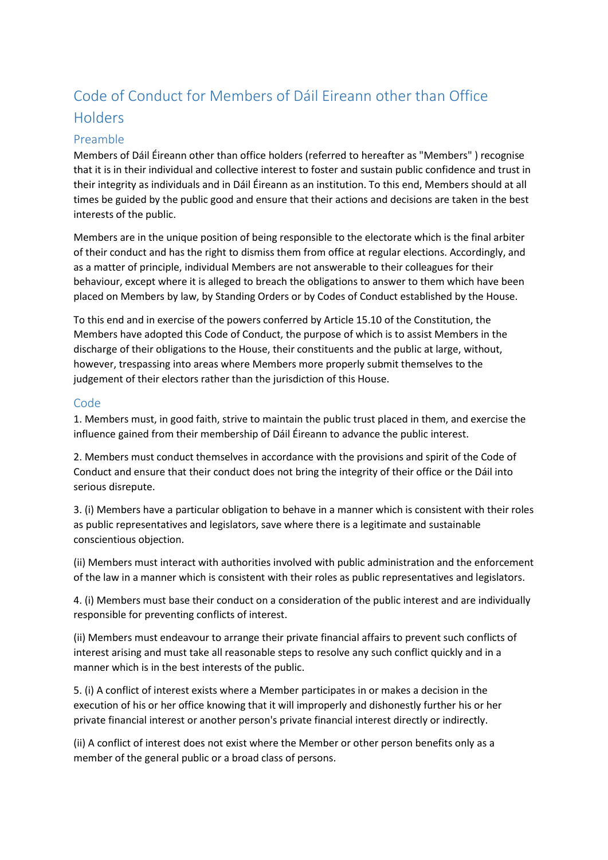## Code of Conduct for Members of Dáil Eireann other than Office Holders

## Preamble

Members of Dáil Éireann other than office holders (referred to hereafter as "Members" ) recognise that it is in their individual and collective interest to foster and sustain public confidence and trust in their integrity as individuals and in Dáil Éireann as an institution. To this end, Members should at all times be guided by the public good and ensure that their actions and decisions are taken in the best interests of the public.

Members are in the unique position of being responsible to the electorate which is the final arbiter of their conduct and has the right to dismiss them from office at regular elections. Accordingly, and as a matter of principle, individual Members are not answerable to their colleagues for their behaviour, except where it is alleged to breach the obligations to answer to them which have been placed on Members by law, by Standing Orders or by Codes of Conduct established by the House.

To this end and in exercise of the powers conferred by Article 15.10 of the Constitution, the Members have adopted this Code of Conduct, the purpose of which is to assist Members in the discharge of their obligations to the House, their constituents and the public at large, without, however, trespassing into areas where Members more properly submit themselves to the judgement of their electors rather than the jurisdiction of this House.

## Code

1. Members must, in good faith, strive to maintain the public trust placed in them, and exercise the influence gained from their membership of Dáil Éireann to advance the public interest.

2. Members must conduct themselves in accordance with the provisions and spirit of the Code of Conduct and ensure that their conduct does not bring the integrity of their office or the Dáil into serious disrepute.

3. (i) Members have a particular obligation to behave in a manner which is consistent with their roles as public representatives and legislators, save where there is a legitimate and sustainable conscientious objection.

(ii) Members must interact with authorities involved with public administration and the enforcement of the law in a manner which is consistent with their roles as public representatives and legislators.

4. (i) Members must base their conduct on a consideration of the public interest and are individually responsible for preventing conflicts of interest.

(ii) Members must endeavour to arrange their private financial affairs to prevent such conflicts of interest arising and must take all reasonable steps to resolve any such conflict quickly and in a manner which is in the best interests of the public.

5. (i) A conflict of interest exists where a Member participates in or makes a decision in the execution of his or her office knowing that it will improperly and dishonestly further his or her private financial interest or another person's private financial interest directly or indirectly.

(ii) A conflict of interest does not exist where the Member or other person benefits only as a member of the general public or a broad class of persons.